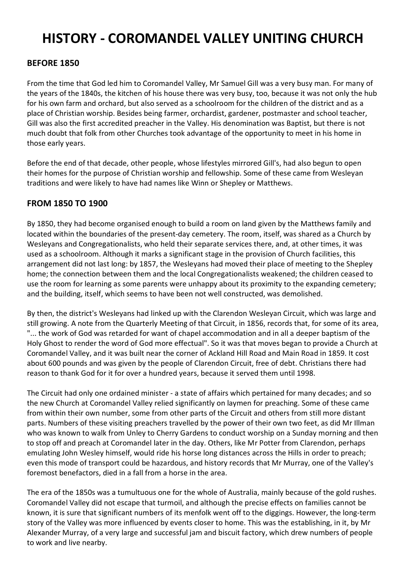# **HISTORY - COROMANDEL VALLEY UNITING CHURCH**

#### **BEFORE 1850**

From the time that God led him to Coromandel Valley, Mr Samuel Gill was a very busy man. For many of the years of the 1840s, the kitchen of his house there was very busy, too, because it was not only the hub for his own farm and orchard, but also served as a schoolroom for the children of the district and as a place of Christian worship. Besides being farmer, orchardist, gardener, postmaster and school teacher, Gill was also the first accredited preacher in the Valley. His denomination was Baptist, but there is not much doubt that folk from other Churches took advantage of the opportunity to meet in his home in those early years.

Before the end of that decade, other people, whose lifestyles mirrored Gill's, had also begun to open their homes for the purpose of Christian worship and fellowship. Some of these came from Wesleyan traditions and were likely to have had names like Winn or Shepley or Matthews.

#### **FROM 1850 TO 1900**

By 1850, they had become organised enough to build a room on land given by the Matthews family and located within the boundaries of the present-day cemetery. The room, itself, was shared as a Church by Wesleyans and Congregationalists, who held their separate services there, and, at other times, it was used as a schoolroom. Although it marks a significant stage in the provision of Church facilities, this arrangement did not last long: by 1857, the Wesleyans had moved their place of meeting to the Shepley home; the connection between them and the local Congregationalists weakened; the children ceased to use the room for learning as some parents were unhappy about its proximity to the expanding cemetery; and the building, itself, which seems to have been not well constructed, was demolished.

By then, the district's Wesleyans had linked up with the Clarendon Wesleyan Circuit, which was large and still growing. A note from the Quarterly Meeting of that Circuit, in 1856, records that, for some of its area, "... the work of God was retarded for want of chapel accommodation and in all a deeper baptism of the Holy Ghost to render the word of God more effectual". So it was that moves began to provide a Church at Coromandel Valley, and it was built near the corner of Ackland Hill Road and Main Road in 1859. It cost about 600 pounds and was given by the people of Clarendon Circuit, free of debt. Christians there had reason to thank God for it for over a hundred years, because it served them until 1998.

The Circuit had only one ordained minister - a state of affairs which pertained for many decades; and so the new Church at Coromandel Valley relied significantly on laymen for preaching. Some of these came from within their own number, some from other parts of the Circuit and others from still more distant parts. Numbers of these visiting preachers travelled by the power of their own two feet, as did Mr Illman who was known to walk from Unley to Cherry Gardens to conduct worship on a Sunday morning and then to stop off and preach at Coromandel later in the day. Others, like Mr Potter from Clarendon, perhaps emulating John Wesley himself, would ride his horse long distances across the Hills in order to preach; even this mode of transport could be hazardous, and history records that Mr Murray, one of the Valley's foremost benefactors, died in a fall from a horse in the area.

The era of the 1850s was a tumultuous one for the whole of Australia, mainly because of the gold rushes. Coromandel Valley did not escape that turmoil, and although the precise effects on families cannot be known, it is sure that significant numbers of its menfolk went off to the diggings. However, the long-term story of the Valley was more influenced by events closer to home. This was the establishing, in it, by Mr Alexander Murray, of a very large and successful jam and biscuit factory, which drew numbers of people to work and live nearby.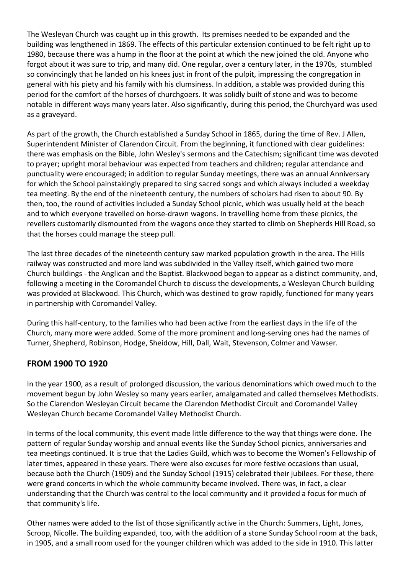The Wesleyan Church was caught up in this growth. Its premises needed to be expanded and the building was lengthened in 1869. The effects of this particular extension continued to be felt right up to 1980, because there was a hump in the floor at the point at which the new joined the old. Anyone who forgot about it was sure to trip, and many did. One regular, over a century later, in the 1970s, stumbled so convincingly that he landed on his knees just in front of the pulpit, impressing the congregation in general with his piety and his family with his clumsiness. In addition, a stable was provided during this period for the comfort of the horses of churchgoers. It was solidly built of stone and was to become notable in different ways many years later. Also significantly, during this period, the Churchyard was used as a graveyard.

As part of the growth, the Church established a Sunday School in 1865, during the time of Rev. J Allen, Superintendent Minister of Clarendon Circuit. From the beginning, it functioned with clear guidelines: there was emphasis on the Bible, John Wesley's sermons and the Catechism; significant time was devoted to prayer; upright moral behaviour was expected from teachers and children; regular attendance and punctuality were encouraged; in addition to regular Sunday meetings, there was an annual Anniversary for which the School painstakingly prepared to sing sacred songs and which always included a weekday tea meeting. By the end of the nineteenth century, the numbers of scholars had risen to about 90. By then, too, the round of activities included a Sunday School picnic, which was usually held at the beach and to which everyone travelled on horse-drawn wagons. In travelling home from these picnics, the revellers customarily dismounted from the wagons once they started to climb on Shepherds Hill Road, so that the horses could manage the steep pull.

The last three decades of the nineteenth century saw marked population growth in the area. The Hills railway was constructed and more land was subdivided in the Valley itself, which gained two more Church buildings - the Anglican and the Baptist. Blackwood began to appear as a distinct community, and, following a meeting in the Coromandel Church to discuss the developments, a Wesleyan Church building was provided at Blackwood. This Church, which was destined to grow rapidly, functioned for many years in partnership with Coromandel Valley.

During this half-century, to the families who had been active from the earliest days in the life of the Church, many more were added. Some of the more prominent and long-serving ones had the names of Turner, Shepherd, Robinson, Hodge, Sheidow, Hill, Dall, Wait, Stevenson, Colmer and Vawser.

### **FROM 1900 TO 1920**

In the year 1900, as a result of prolonged discussion, the various denominations which owed much to the movement begun by John Wesley so many years earlier, amalgamated and called themselves Methodists. So the Clarendon Wesleyan Circuit became the Clarendon Methodist Circuit and Coromandel Valley Wesleyan Church became Coromandel Valley Methodist Church.

In terms of the local community, this event made little difference to the way that things were done. The pattern of regular Sunday worship and annual events like the Sunday School picnics, anniversaries and tea meetings continued. It is true that the Ladies Guild, which was to become the Women's Fellowship of later times, appeared in these years. There were also excuses for more festive occasions than usual, because both the Church (1909) and the Sunday School (1915) celebrated their jubilees. For these, there were grand concerts in which the whole community became involved. There was, in fact, a clear understanding that the Church was central to the local community and it provided a focus for much of that community's life.

Other names were added to the list of those significantly active in the Church: Summers, Light, Jones, Scroop, Nicolle. The building expanded, too, with the addition of a stone Sunday School room at the back, in 1905, and a small room used for the younger children which was added to the side in 1910. This latter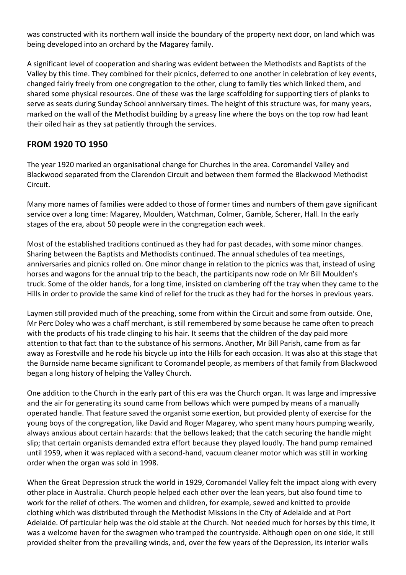was constructed with its northern wall inside the boundary of the property next door, on land which was being developed into an orchard by the Magarey family.

A significant level of cooperation and sharing was evident between the Methodists and Baptists of the Valley by this time. They combined for their picnics, deferred to one another in celebration of key events, changed fairly freely from one congregation to the other, clung to family ties which linked them, and shared some physical resources. One of these was the large scaffolding for supporting tiers of planks to serve as seats during Sunday School anniversary times. The height of this structure was, for many years, marked on the wall of the Methodist building by a greasy line where the boys on the top row had leant their oiled hair as they sat patiently through the services.

#### **FROM 1920 TO 1950**

The year 1920 marked an organisational change for Churches in the area. Coromandel Valley and Blackwood separated from the Clarendon Circuit and between them formed the Blackwood Methodist Circuit.

Many more names of families were added to those of former times and numbers of them gave significant service over a long time: Magarey, Moulden, Watchman, Colmer, Gamble, Scherer, Hall. In the early stages of the era, about 50 people were in the congregation each week.

Most of the established traditions continued as they had for past decades, with some minor changes. Sharing between the Baptists and Methodists continued. The annual schedules of tea meetings, anniversaries and picnics rolled on. One minor change in relation to the picnics was that, instead of using horses and wagons for the annual trip to the beach, the participants now rode on Mr Bill Moulden's truck. Some of the older hands, for a long time, insisted on clambering off the tray when they came to the Hills in order to provide the same kind of relief for the truck as they had for the horses in previous years.

Laymen still provided much of the preaching, some from within the Circuit and some from outside. One, Mr Perc Doley who was a chaff merchant, is still remembered by some because he came often to preach with the products of his trade clinging to his hair. It seems that the children of the day paid more attention to that fact than to the substance of his sermons. Another, Mr Bill Parish, came from as far away as Forestville and he rode his bicycle up into the Hills for each occasion. It was also at this stage that the Burnside name became significant to Coromandel people, as members of that family from Blackwood began a long history of helping the Valley Church.

One addition to the Church in the early part of this era was the Church organ. It was large and impressive and the air for generating its sound came from bellows which were pumped by means of a manually operated handle. That feature saved the organist some exertion, but provided plenty of exercise for the young boys of the congregation, like David and Roger Magarey, who spent many hours pumping wearily, always anxious about certain hazards: that the bellows leaked; that the catch securing the handle might slip; that certain organists demanded extra effort because they played loudly. The hand pump remained until 1959, when it was replaced with a second-hand, vacuum cleaner motor which was still in working order when the organ was sold in 1998.

When the Great Depression struck the world in 1929, Coromandel Valley felt the impact along with every other place in Australia. Church people helped each other over the lean years, but also found time to work for the relief of others. The women and children, for example, sewed and knitted to provide clothing which was distributed through the Methodist Missions in the City of Adelaide and at Port Adelaide. Of particular help was the old stable at the Church. Not needed much for horses by this time, it was a welcome haven for the swagmen who tramped the countryside. Although open on one side, it still provided shelter from the prevailing winds, and, over the few years of the Depression, its interior walls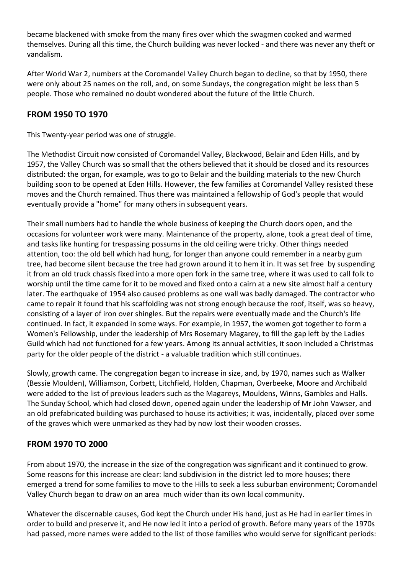became blackened with smoke from the many fires over which the swagmen cooked and warmed themselves. During all this time, the Church building was never locked - and there was never any theft or vandalism.

After World War 2, numbers at the Coromandel Valley Church began to decline, so that by 1950, there were only about 25 names on the roll, and, on some Sundays, the congregation might be less than 5 people. Those who remained no doubt wondered about the future of the little Church.

## **FROM 1950 TO 1970**

This Twenty-year period was one of struggle.

The Methodist Circuit now consisted of Coromandel Valley, Blackwood, Belair and Eden Hills, and by 1957, the Valley Church was so small that the others believed that it should be closed and its resources distributed: the organ, for example, was to go to Belair and the building materials to the new Church building soon to be opened at Eden Hills. However, the few families at Coromandel Valley resisted these moves and the Church remained. Thus there was maintained a fellowship of God's people that would eventually provide a "home" for many others in subsequent years.

Their small numbers had to handle the whole business of keeping the Church doors open, and the occasions for volunteer work were many. Maintenance of the property, alone, took a great deal of time, and tasks like hunting for trespassing possums in the old ceiling were tricky. Other things needed attention, too: the old bell which had hung, for longer than anyone could remember in a nearby gum tree, had become silent because the tree had grown around it to hem it in. It was set free by suspending it from an old truck chassis fixed into a more open fork in the same tree, where it was used to call folk to worship until the time came for it to be moved and fixed onto a cairn at a new site almost half a century later. The earthquake of 1954 also caused problems as one wall was badly damaged. The contractor who came to repair it found that his scaffolding was not strong enough because the roof, itself, was so heavy, consisting of a layer of iron over shingles. But the repairs were eventually made and the Church's life continued. In fact, it expanded in some ways. For example, in 1957, the women got together to form a Women's Fellowship, under the leadership of Mrs Rosemary Magarey, to fill the gap left by the Ladies Guild which had not functioned for a few years. Among its annual activities, it soon included a Christmas party for the older people of the district - a valuable tradition which still continues.

Slowly, growth came. The congregation began to increase in size, and, by 1970, names such as Walker (Bessie Moulden), Williamson, Corbett, Litchfield, Holden, Chapman, Overbeeke, Moore and Archibald were added to the list of previous leaders such as the Magareys, Mouldens, Winns, Gambles and Halls. The Sunday School, which had closed down, opened again under the leadership of Mr John Vawser, and an old prefabricated building was purchased to house its activities; it was, incidentally, placed over some of the graves which were unmarked as they had by now lost their wooden crosses.

### **FROM 1970 TO 2000**

From about 1970, the increase in the size of the congregation was significant and it continued to grow. Some reasons for this increase are clear: land subdivision in the district led to more houses; there emerged a trend for some families to move to the Hills to seek a less suburban environment; Coromandel Valley Church began to draw on an area much wider than its own local community.

Whatever the discernable causes, God kept the Church under His hand, just as He had in earlier times in order to build and preserve it, and He now led it into a period of growth. Before many years of the 1970s had passed, more names were added to the list of those families who would serve for significant periods: